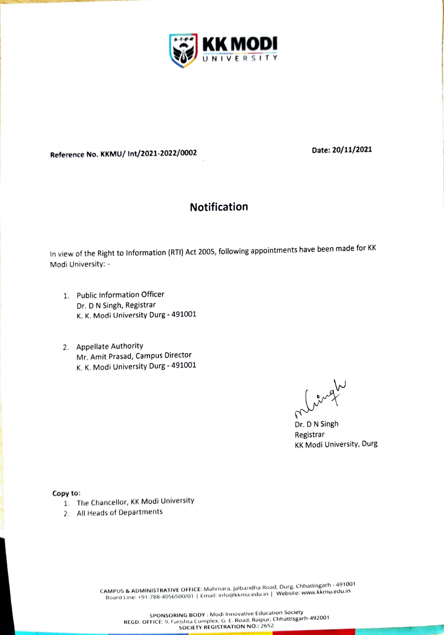

Reference No. KKMU/ Int/2021-2022/0002 Date: 20/11/2021

## Notification

In view of the Right to Information (RTI) Act 2005, following appointments have been made for KK Modi University:

- 1. Public Information Officer Dr. D N Singh, Registrar K. K. Modi University Durg- 491001
- 2. Appellate Authority Mr. Amit Prasad, Campus Director K. K. Modi University Durg - 491001

7

Dr. D N Singh Registrar KK Modi University, Durg

Copy to:

- 1. The Chancellor, KK Modi University
- 2. All Heads of Departments

CAMPUS & ADMINISTRATIVE OFFICE: Mahmara, Jalbandha Road, Durg, Chhattisgarh - 49100<br>CAMPUS & ADMINISTRATIVE OFFICE: Mahmara, Jalbandha Road, J. Website: www.kkmu.edu.in Board Line: +91-788-4056500/01 | Email: info@kkmu.edu.in | Website: www.kkmu.edu.n